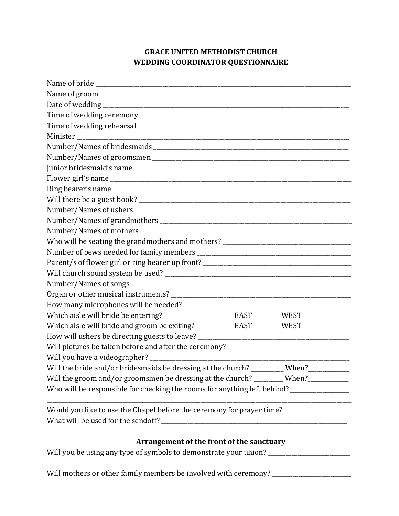## **GRACE UNITED METHODIST CHURCH WEDDING COORDINATOR QUESTIONNAIRE**

| Who will be seating the grandmothers and mothers? _______________________________        |             |             |  |  |
|------------------------------------------------------------------------------------------|-------------|-------------|--|--|
|                                                                                          |             |             |  |  |
|                                                                                          |             |             |  |  |
|                                                                                          |             |             |  |  |
|                                                                                          |             |             |  |  |
|                                                                                          |             |             |  |  |
| Which aisle will bride be entering?                                                      | EAST        | <b>WEST</b> |  |  |
| Which aisle will bride and groom be exiting?                                             | <b>EAST</b> | <b>WEST</b> |  |  |
| How will ushers be directing guests to leave? __________________________________         |             |             |  |  |
| Will pictures be taken before and after the ceremony? ___________________________        |             |             |  |  |
|                                                                                          |             |             |  |  |
| Will the bride and/or bridesmaids be dressing at the church?                             |             | When?       |  |  |
| Will the groom and/or groomsmen be dressing at the church? ________ When?________        |             |             |  |  |
| Who will be responsible for checking the rooms for anything left behind? _______________ |             |             |  |  |
| Would you like to use the Chapel before the ceremony for prayer time? ________________   |             |             |  |  |
| What will be used for the sendoff? _                                                     |             |             |  |  |

## **Arrangement of the front of the sanctuary**

\_\_\_\_\_\_\_\_\_\_\_\_\_\_\_\_\_\_\_\_\_\_\_\_\_\_\_\_\_\_\_\_\_\_\_\_\_\_\_\_\_\_\_\_\_\_\_\_\_\_\_\_\_\_\_\_\_\_\_\_\_\_\_\_\_\_\_\_\_\_\_\_\_\_\_\_\_\_\_\_\_\_\_\_\_\_\_\_\_\_\_\_\_\_\_\_\_\_\_\_\_\_\_\_\_

Will you be using any type of symbols to demonstrate your union? \_\_\_\_\_\_\_\_\_\_\_\_\_\_\_\_

Will mothers or other family members be involved with ceremony? \_\_\_\_\_\_\_\_\_\_\_\_\_\_\_\_